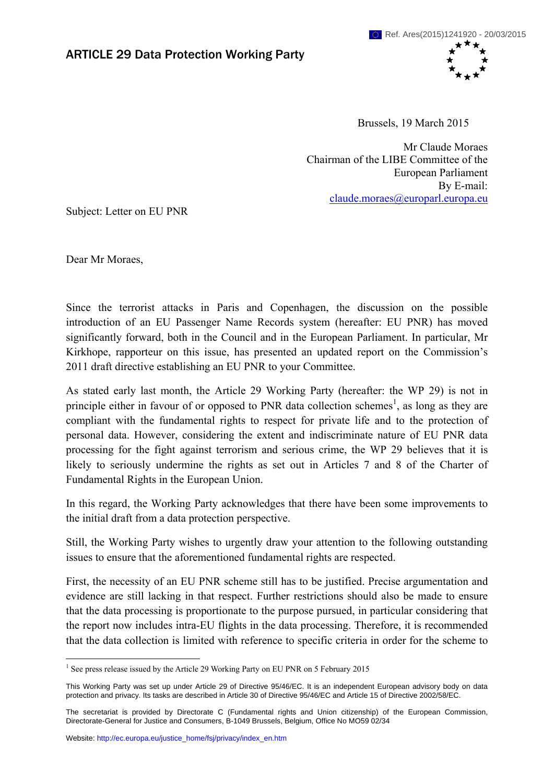

Brussels, 19 March 2015

Mr Claude Moraes Chairman of the LIBE Committee of the European Parliament By E-mail: [claude.moraes@europarl.europa.eu](mailto:claude.moraes@europarl.europa.eu) 

Subject: Letter on EU PNR

Dear Mr Moraes,

Since the terrorist attacks in Paris and Copenhagen, the discussion on the possible introduction of an EU Passenger Name Records system (hereafter: EU PNR) has moved significantly forward, both in the Council and in the European Parliament. In particular, Mr Kirkhope, rapporteur on this issue, has presented an updated report on the Commission's 2011 draft directive establishing an EU PNR to your Committee.

As stated early last month, the Article 29 Working Party (hereafter: the WP 29) is not in principle either in favour of or opposed to PNR data collection schemes<sup>1</sup>, as long as they are compliant with the fundamental rights to respect for private life and to the protection of personal data. However, considering the extent and indiscriminate nature of EU PNR data processing for the fight against terrorism and serious crime, the WP 29 believes that it is likely to seriously undermine the rights as set out in Articles 7 and 8 of the Charter of Fundamental Rights in the European Union.

In this regard, the Working Party acknowledges that there have been some improvements to the initial draft from a data protection perspective.

Still, the Working Party wishes to urgently draw your attention to the following outstanding issues to ensure that the aforementioned fundamental rights are respected.

First, the necessity of an EU PNR scheme still has to be justified. Precise argumentation and evidence are still lacking in that respect. Further restrictions should also be made to ensure that the data processing is proportionate to the purpose pursued, in particular considering that the report now includes intra-EU flights in the data processing. Therefore, it is recommended that the data collection is limited with reference to specific criteria in order for the scheme to

<sup>1</sup> <sup>1</sup> See press release issued by the Article 29 Working Party on EU PNR on 5 February 2015

This Working Party was set up under Article 29 of Directive 95/46/EC. It is an independent European advisory body on data protection and privacy. Its tasks are described in Article 30 of Directive 95/46/EC and Article 15 of Directive 2002/58/EC.

The secretariat is provided by Directorate C (Fundamental rights and Union citizenship) of the European Commission, Directorate-General for Justice and Consumers, B-1049 Brussels, Belgium, Office No MO59 02/34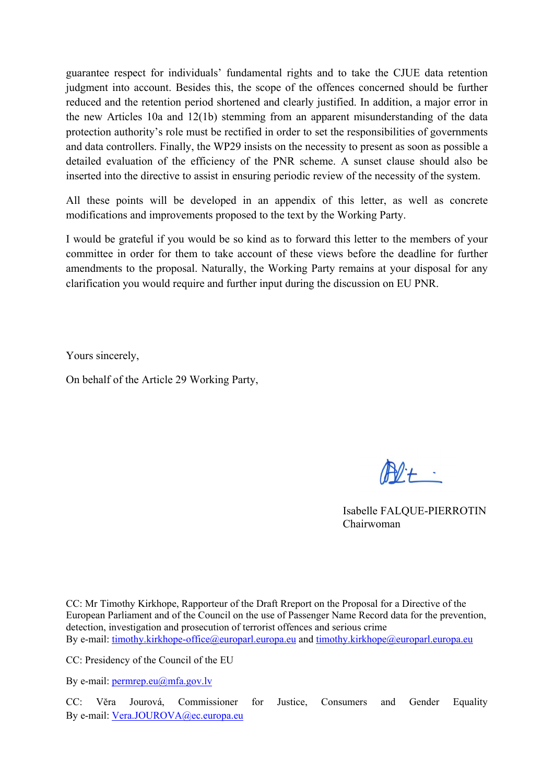guarantee respect for individuals' fundamental rights and to take the CJUE data retention judgment into account. Besides this, the scope of the offences concerned should be further reduced and the retention period shortened and clearly justified. In addition, a major error in the new Articles 10a and 12(1b) stemming from an apparent misunderstanding of the data protection authority's role must be rectified in order to set the responsibilities of governments and data controllers. Finally, the WP29 insists on the necessity to present as soon as possible a detailed evaluation of the efficiency of the PNR scheme. A sunset clause should also be inserted into the directive to assist in ensuring periodic review of the necessity of the system.

All these points will be developed in an appendix of this letter, as well as concrete modifications and improvements proposed to the text by the Working Party.

I would be grateful if you would be so kind as to forward this letter to the members of your committee in order for them to take account of these views before the deadline for further amendments to the proposal. Naturally, the Working Party remains at your disposal for any clarification you would require and further input during the discussion on EU PNR.

Yours sincerely,

On behalf of the Article 29 Working Party,

 $M +$ 

Isabelle FALQUE-PIERROTIN Chairwoman

CC: Mr Timothy Kirkhope, Rapporteur of the Draft Rreport on the Proposal for a Directive of the European Parliament and of the Council on the use of Passenger Name Record data for the prevention, detection, investigation and prosecution of terrorist offences and serious crime By e-mail: [timothy.kirkhope-office@europarl.europa.eu a](mailto:timothy.kirkhope-office@europarl.europa.eu)nd timothy.kirkhope@europarl.europa.eu

CC: Presidency of the Council of the EU

By e-mail: [permrep.eu@mfa.gov.lv](mailto:permrep.eu@mfa.gov.lv)

CC: Vĕra Jourová, Commissioner for Justice, Consumers and Gender Equality By e-mail: Vera.JOUROVA@ec.europa.eu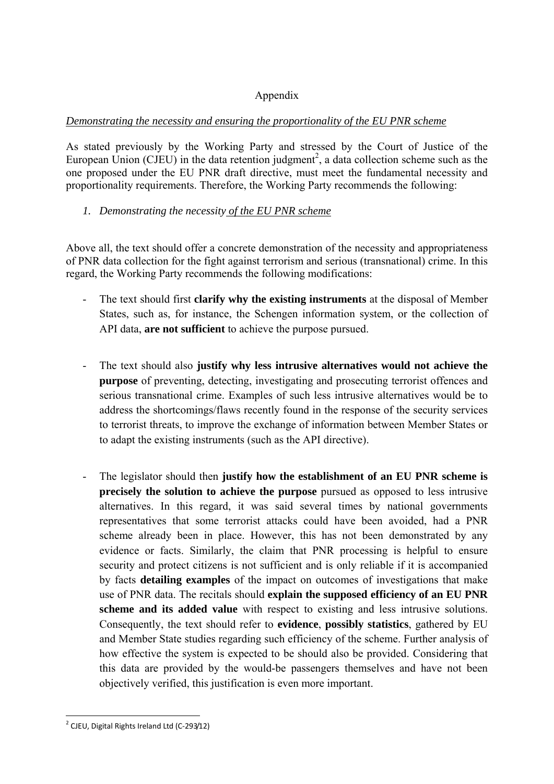# Appendix

#### *Demonstrating the necessity and ensuring the proportionality of the EU PNR scheme*

As stated previously by the Working Party and stressed by the Court of Justice of the European Union (CJEU) in the data retention judgment<sup>2</sup>, a data collection scheme such as the one proposed under the EU PNR draft directive, must meet the fundamental necessity and proportionality requirements. Therefore, the Working Party recommends the following:

## *1. Demonstrating the necessity of the EU PNR scheme*

Above all, the text should offer a concrete demonstration of the necessity and appropriateness of PNR data collection for the fight against terrorism and serious (transnational) crime. In this regard, the Working Party recommends the following modifications:

- The text should first **clarify why the existing instruments** at the disposal of Member States, such as, for instance, the Schengen information system, or the collection of API data, **are not sufficient** to achieve the purpose pursued.
- The text should also **justify why less intrusive alternatives would not achieve the purpose** of preventing, detecting, investigating and prosecuting terrorist offences and serious transnational crime. Examples of such less intrusive alternatives would be to address the shortcomings/flaws recently found in the response of the security services to terrorist threats, to improve the exchange of information between Member States or to adapt the existing instruments (such as the API directive).
- The legislator should then **justify how the establishment of an EU PNR scheme is precisely the solution to achieve the purpose** pursued as opposed to less intrusive alternatives. In this regard, it was said several times by national governments representatives that some terrorist attacks could have been avoided, had a PNR scheme already been in place. However, this has not been demonstrated by any evidence or facts. Similarly, the claim that PNR processing is helpful to ensure security and protect citizens is not sufficient and is only reliable if it is accompanied by facts **detailing examples** of the impact on outcomes of investigations that make use of PNR data. The recitals should **explain the supposed efficiency of an EU PNR scheme and its added value** with respect to existing and less intrusive solutions. Consequently, the text should refer to **evidence**, **possibly statistics**, gathered by EU and Member State studies regarding such efficiency of the scheme. Further analysis of how effective the system is expected to be should also be provided. Considering that this data are provided by the would-be passengers themselves and have not been objectively verified, this justification is even more important.

<sup>&</sup>lt;u>.</u> <sup>2</sup> CJEU, Digital Rights Ireland Ltd (C-293/12)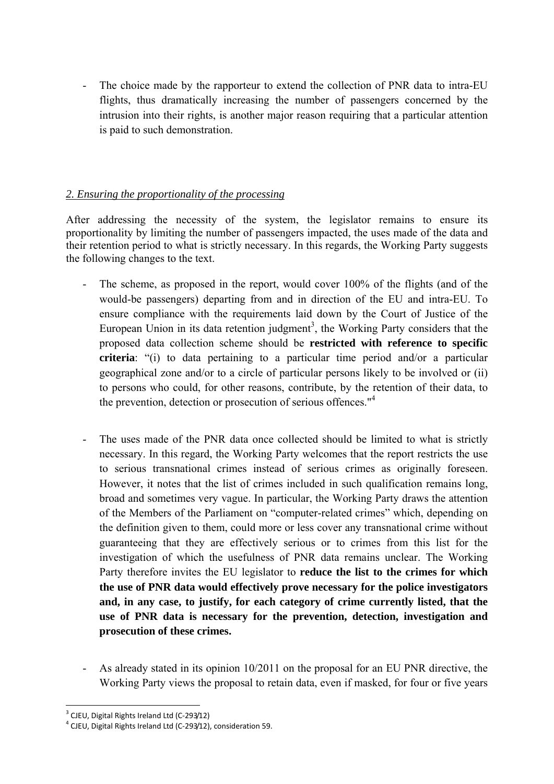- The choice made by the rapporteur to extend the collection of PNR data to intra-EU flights, thus dramatically increasing the number of passengers concerned by the intrusion into their rights, is another major reason requiring that a particular attention is paid to such demonstration.

## *2. Ensuring the proportionality of the processing*

After addressing the necessity of the system, the legislator remains to ensure its proportionality by limiting the number of passengers impacted, the uses made of the data and their retention period to what is strictly necessary. In this regards, the Working Party suggests the following changes to the text.

- The scheme, as proposed in the report, would cover 100% of the flights (and of the would-be passengers) departing from and in direction of the EU and intra-EU. To ensure compliance with the requirements laid down by the Court of Justice of the European Union in its data retention judgment<sup>3</sup>, the Working Party considers that the proposed data collection scheme should be **restricted with reference to specific criteria**: "(i) to data pertaining to a particular time period and/or a particular geographical zone and/or to a circle of particular persons likely to be involved or (ii) to persons who could, for other reasons, contribute, by the retention of their data, to the prevention, detection or prosecution of serious offences."<sup>4</sup>
- The uses made of the PNR data once collected should be limited to what is strictly necessary. In this regard, the Working Party welcomes that the report restricts the use to serious transnational crimes instead of serious crimes as originally foreseen. However, it notes that the list of crimes included in such qualification remains long, broad and sometimes very vague. In particular, the Working Party draws the attention of the Members of the Parliament on "computer-related crimes" which, depending on the definition given to them, could more or less cover any transnational crime without guaranteeing that they are effectively serious or to crimes from this list for the investigation of which the usefulness of PNR data remains unclear. The Working Party therefore invites the EU legislator to **reduce the list to the crimes for which the use of PNR data would effectively prove necessary for the police investigators and, in any case, to justify, for each category of crime currently listed, that the use of PNR data is necessary for the prevention, detection, investigation and prosecution of these crimes.**
- As already stated in its opinion 10/2011 on the proposal for an EU PNR directive, the Working Party views the proposal to retain data, even if masked, for four or five years

<sup>1</sup> <sup>3</sup> CJEU, Digital Rights Ireland Ltd (C-293/12)

<sup>&</sup>lt;sup>4</sup> CJEU, Digital Rights Ireland Ltd (C-293/12), consideration 59.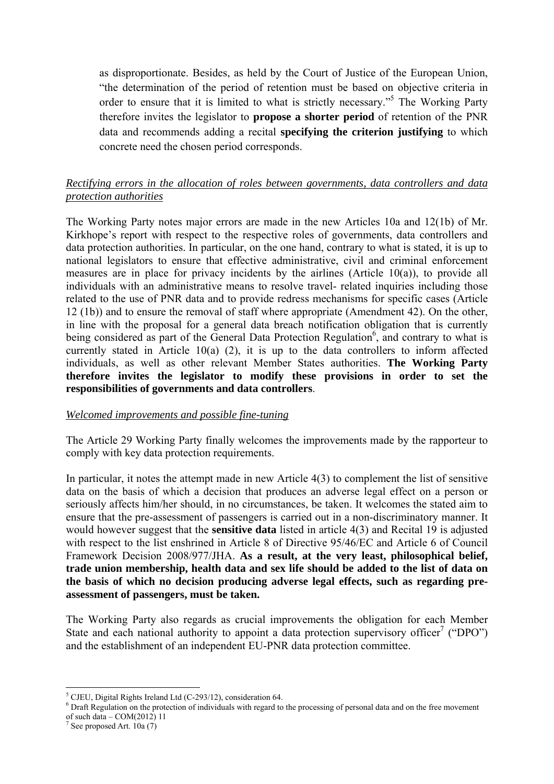as disproportionate. Besides, as held by the Court of Justice of the European Union, "the determination of the period of retention must be based on objective criteria in order to ensure that it is limited to what is strictly necessary."<sup>5</sup> The Working Party therefore invites the legislator to **propose a shorter period** of retention of the PNR data and recommends adding a recital **specifying the criterion justifying** to which concrete need the chosen period corresponds.

### *Rectifying errors in the allocation of roles between governments, data controllers and data protection authorities*

The Working Party notes major errors are made in the new Articles 10a and 12(1b) of Mr. Kirkhope's report with respect to the respective roles of governments, data controllers and data protection authorities. In particular, on the one hand, contrary to what is stated, it is up to national legislators to ensure that effective administrative, civil and criminal enforcement measures are in place for privacy incidents by the airlines (Article 10(a)), to provide all individuals with an administrative means to resolve travel- related inquiries including those related to the use of PNR data and to provide redress mechanisms for specific cases (Article 12 (1b)) and to ensure the removal of staff where appropriate (Amendment 42). On the other, in line with the proposal for a general data breach notification obligation that is currently being considered as part of the General Data Protection Regulation<sup>6</sup>, and contrary to what is currently stated in Article 10(a) (2), it is up to the data controllers to inform affected individuals, as well as other relevant Member States authorities. **The Working Party therefore invites the legislator to modify these provisions in order to set the responsibilities of governments and data controllers**.

#### *Welcomed improvements and possible fine-tuning*

The Article 29 Working Party finally welcomes the improvements made by the rapporteur to comply with key data protection requirements.

In particular, it notes the attempt made in new Article 4(3) to complement the list of sensitive data on the basis of which a decision that produces an adverse legal effect on a person or seriously affects him/her should, in no circumstances, be taken. It welcomes the stated aim to ensure that the pre-assessment of passengers is carried out in a non-discriminatory manner. It would however suggest that the **sensitive data** listed in article 4(3) and Recital 19 is adjusted with respect to the list enshrined in Article 8 of Directive 95/46/EC and Article 6 of Council Framework Decision 2008/977/JHA. **As a result, at the very least, philosophical belief, trade union membership, health data and sex life should be added to the list of data on the basis of which no decision producing adverse legal effects, such as regarding preassessment of passengers, must be taken.** 

The Working Party also regards as crucial improvements the obligation for each Member State and each national authority to appoint a data protection supervisory officer<sup>7</sup> ("DPO") and the establishment of an independent EU-PNR data protection committee.

<sup>1</sup> <sup>5</sup> CJEU, Digital Rights Ireland Ltd (C-293/12), consideration 64.

<sup>&</sup>lt;sup>6</sup> Draft Regulation on the protection of individuals with regard to the processing of personal data and on the free movement % of such data – COM(2012) 11<br>
<sup>7</sup> See proposed Art. 10a (7)